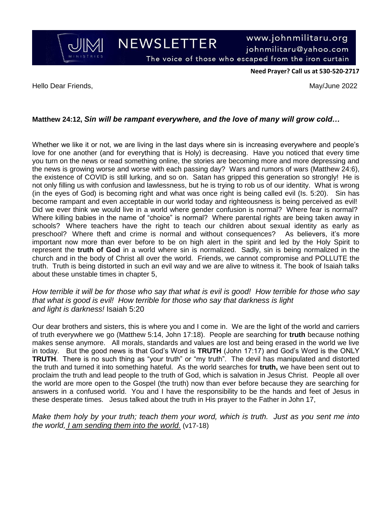**NEWSLETTER** 

www.johnmilitaru.org johnmilitaru@yahoo.com

The voice of those who escaped from the iron curtain

**Need Prayer? Call us at 530-520-2717**

Hello Dear Friends, May/June 2022

JIM

## **Matthew 24:12,** *Sin will be rampant everywhere, and the love of many will grow cold…*

Whether we like it or not, we are living in the last days where sin is increasing everywhere and people's love for one another (and for everything that is Holy) is decreasing. Have you noticed that every time you turn on the news or read something online, the stories are becoming more and more depressing and the news is growing worse and worse with each passing day? Wars and rumors of wars (Matthew 24:6), the existence of COVID is still lurking, and so on. Satan has gripped this generation so strongly! He is not only filling us with confusion and lawlessness, but he is trying to rob us of our identity. What is wrong (in the eyes of God) is becoming right and what was once right is being called evil (Is. 5:20). Sin has become rampant and even acceptable in our world today and righteousness is being perceived as evil! Did we ever think we would live in a world where gender confusion is normal? Where fear is normal? Where killing babies in the name of "choice" is normal? Where parental rights are being taken away in schools? Where teachers have the right to teach our children about sexual identity as early as preschool? Where theft and crime is normal and without consequences? As believers, it's more important now more than ever before to be on high alert in the spirit and led by the Holy Spirit to represent the **truth of God** in a world where sin is normalized. Sadly, sin is being normalized in the church and in the body of Christ all over the world. Friends, we cannot compromise and POLLUTE the truth. Truth is being distorted in such an evil way and we are alive to witness it. The book of Isaiah talks about these unstable times in chapter 5,

*How terrible it will be for those who say that what is evil is good! How terrible for those who say that what is good is evil! How terrible for those who say that darkness is light and light is darkness!* Isaiah 5:20

Our dear brothers and sisters, this is where you and I come in. We are the light of the world and carriers of truth everywhere we go (Matthew 5:14, John 17:18). People are searching for **truth** because nothing makes sense anymore. All morals, standards and values are lost and being erased in the world we live in today. But the good news is that God's Word is **TRUTH** (John 17:17) and God's Word is the ONLY **TRUTH**. There is no such thing as "your truth" or "my truth". The devil has manipulated and distorted the truth and turned it into something hateful. As the world searches for **truth,** we have been sent out to proclaim the truth and lead people to the truth of God, which is salvation in Jesus Christ. People all over the world are more open to the Gospel (the truth) now than ever before because they are searching for answers in a confused world. You and I have the responsibility to be the hands and feet of Jesus in these desperate times. Jesus talked about the truth in His prayer to the Father in John 17,

*Make them holy by your truth; teach them your word, which is truth. Just as you sent me into the world, I am sending them into the world.* (v17-18)